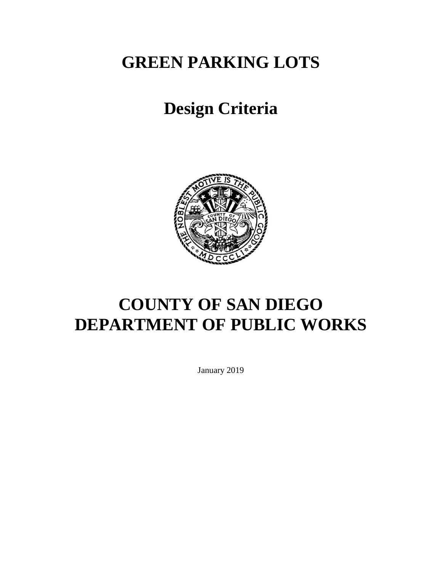## **GREEN PARKING LOTS**

# **Design Criteria**



# **COUNTY OF SAN DIEGO DEPARTMENT OF PUBLIC WORKS**

January 2019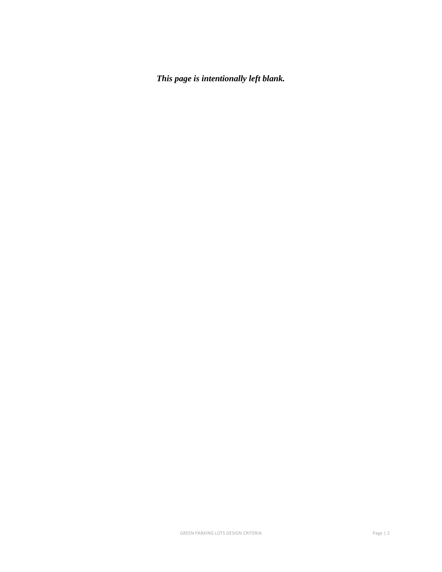*This page is intentionally left blank.*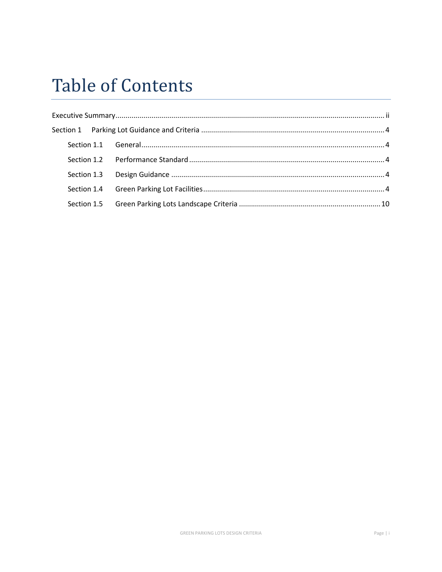# **Table of Contents**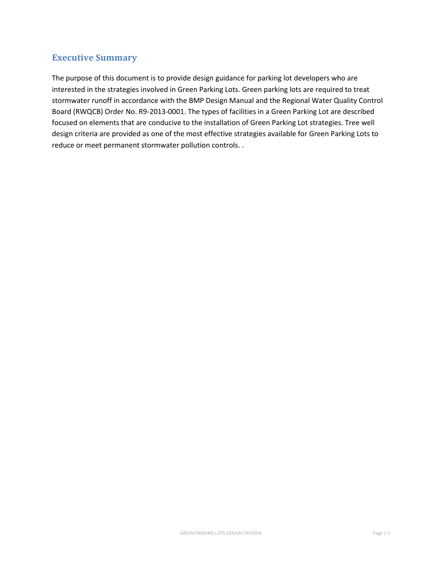## <span id="page-3-0"></span>**Executive Summary**

The purpose of this document is to provide design guidance for parking lot developers who are interested in the strategies involved in Green Parking Lots. Green parking lots are required to treat stormwater runoff in accordance with the BMP Design Manual and the Regional Water Quality Control Board (RWQCB) Order No. R9-2013-0001. The types of facilities in a Green Parking Lot are described focused on elements that are conducive to the installation of Green Parking Lot strategies. Tree well design criteria are provided as one of the most effective strategies available for Green Parking Lots to reduce or meet permanent stormwater pollution controls. .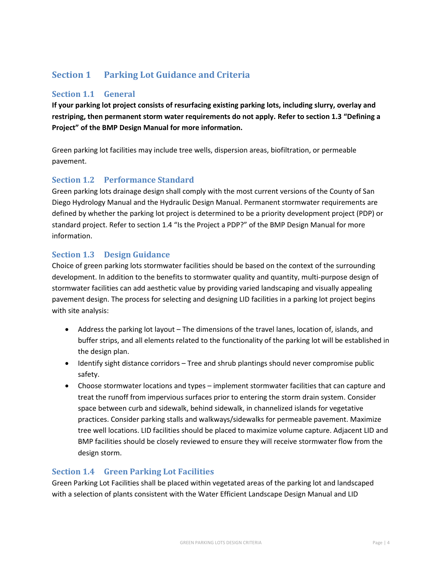## <span id="page-5-0"></span>**Section 1 Parking Lot Guidance and Criteria**

## <span id="page-5-1"></span>**Section 1.1 General**

**If your parking lot project consists of resurfacing existing parking lots, including slurry, overlay and restriping, then permanent storm water requirements do not apply. Refer to section 1.3 "Defining a Project" of the BMP Design Manual for more information.**

Green parking lot facilities may include tree wells, dispersion areas, biofiltration, or permeable pavement.

## <span id="page-5-2"></span>**Section 1.2 Performance Standard**

Green parking lots drainage design shall comply with the most current versions of the County of San Diego Hydrology Manual and the Hydraulic Design Manual. Permanent stormwater requirements are defined by whether the parking lot project is determined to be a priority development project (PDP) or standard project. Refer to section 1.4 "Is the Project a PDP?" of the BMP Design Manual for more information.

## <span id="page-5-3"></span>**Section 1.3 Design Guidance**

Choice of green parking lots stormwater facilities should be based on the context of the surrounding development. In addition to the benefits to stormwater quality and quantity, multi-purpose design of stormwater facilities can add aesthetic value by providing varied landscaping and visually appealing pavement design. The process for selecting and designing LID facilities in a parking lot project begins with site analysis:

- Address the parking lot layout The dimensions of the travel lanes, location of, islands, and buffer strips, and all elements related to the functionality of the parking lot will be established in the design plan.
- Identify sight distance corridors Tree and shrub plantings should never compromise public safety.
- Choose stormwater locations and types implement stormwater facilities that can capture and treat the runoff from impervious surfaces prior to entering the storm drain system. Consider space between curb and sidewalk, behind sidewalk, in channelized islands for vegetative practices. Consider parking stalls and walkways/sidewalks for permeable pavement. Maximize tree well locations. LID facilities should be placed to maximize volume capture. Adjacent LID and BMP facilities should be closely reviewed to ensure they will receive stormwater flow from the design storm.

## <span id="page-5-4"></span>**Section 1.4 Green Parking Lot Facilities**

Green Parking Lot Facilities shall be placed within vegetated areas of the parking lot and landscaped with a selection of plants consistent with the Water Efficient Landscape Design Manual and LID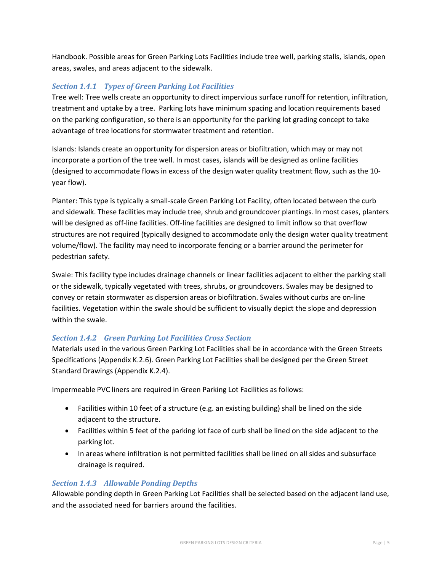Handbook. Possible areas for Green Parking Lots Facilities include tree well, parking stalls, islands, open areas, swales, and areas adjacent to the sidewalk.

## *Section 1.4.1 Types of Green Parking Lot Facilities*

Tree well: Tree wells create an opportunity to direct impervious surface runoff for retention, infiltration, treatment and uptake by a tree. Parking lots have minimum spacing and location requirements based on the parking configuration, so there is an opportunity for the parking lot grading concept to take advantage of tree locations for stormwater treatment and retention.

Islands: Islands create an opportunity for dispersion areas or biofiltration, which may or may not incorporate a portion of the tree well. In most cases, islands will be designed as online facilities (designed to accommodate flows in excess of the design water quality treatment flow, such as the 10 year flow).

Planter: This type is typically a small-scale Green Parking Lot Facility, often located between the curb and sidewalk. These facilities may include tree, shrub and groundcover plantings. In most cases, planters will be designed as off-line facilities. Off-line facilities are designed to limit inflow so that overflow structures are not required (typically designed to accommodate only the design water quality treatment volume/flow). The facility may need to incorporate fencing or a barrier around the perimeter for pedestrian safety.

Swale: This facility type includes drainage channels or linear facilities adjacent to either the parking stall or the sidewalk, typically vegetated with trees, shrubs, or groundcovers. Swales may be designed to convey or retain stormwater as dispersion areas or biofiltration. Swales without curbs are on-line facilities. Vegetation within the swale should be sufficient to visually depict the slope and depression within the swale.

## *Section 1.4.2 Green Parking Lot Facilities Cross Section*

Materials used in the various Green Parking Lot Facilities shall be in accordance with the Green Streets Specifications (Appendix K.2.6). Green Parking Lot Facilities shall be designed per the Green Street Standard Drawings (Appendix K.2.4).

Impermeable PVC liners are required in Green Parking Lot Facilities as follows:

- Facilities within 10 feet of a structure (e.g. an existing building) shall be lined on the side adjacent to the structure.
- Facilities within 5 feet of the parking lot face of curb shall be lined on the side adjacent to the parking lot.
- In areas where infiltration is not permitted facilities shall be lined on all sides and subsurface drainage is required.

## *Section 1.4.3 Allowable Ponding Depths*

Allowable ponding depth in Green Parking Lot Facilities shall be selected based on the adjacent land use, and the associated need for barriers around the facilities.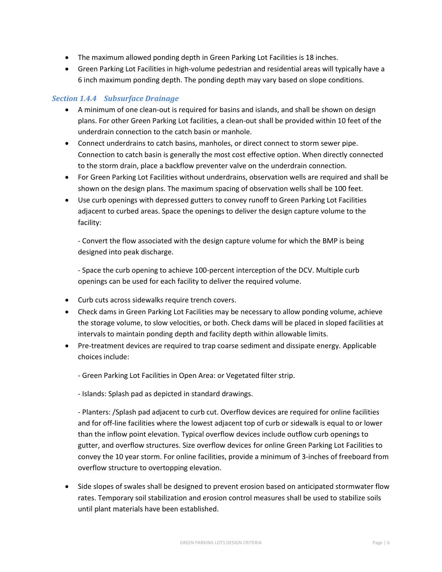- The maximum allowed ponding depth in Green Parking Lot Facilities is 18 inches.
- Green Parking Lot Facilities in high-volume pedestrian and residential areas will typically have a 6 inch maximum ponding depth. The ponding depth may vary based on slope conditions.

## *Section 1.4.4 Subsurface Drainage*

- A minimum of one clean-out is required for basins and islands, and shall be shown on design plans. For other Green Parking Lot facilities, a clean-out shall be provided within 10 feet of the underdrain connection to the catch basin or manhole.
- Connect underdrains to catch basins, manholes, or direct connect to storm sewer pipe. Connection to catch basin is generally the most cost effective option. When directly connected to the storm drain, place a backflow preventer valve on the underdrain connection.
- For Green Parking Lot Facilities without underdrains, observation wells are required and shall be shown on the design plans. The maximum spacing of observation wells shall be 100 feet.
- Use curb openings with depressed gutters to convey runoff to Green Parking Lot Facilities adjacent to curbed areas. Space the openings to deliver the design capture volume to the facility:

- Convert the flow associated with the design capture volume for which the BMP is being designed into peak discharge.

- Space the curb opening to achieve 100-percent interception of the DCV. Multiple curb openings can be used for each facility to deliver the required volume.

- Curb cuts across sidewalks require trench covers.
- Check dams in Green Parking Lot Facilities may be necessary to allow ponding volume, achieve the storage volume, to slow velocities, or both. Check dams will be placed in sloped facilities at intervals to maintain ponding depth and facility depth within allowable limits.
- Pre-treatment devices are required to trap coarse sediment and dissipate energy. Applicable choices include:

- Green Parking Lot Facilities in Open Area: or Vegetated filter strip.

- Islands: Splash pad as depicted in standard drawings.

- Planters: /Splash pad adjacent to curb cut. Overflow devices are required for online facilities and for off-line facilities where the lowest adjacent top of curb or sidewalk is equal to or lower than the inflow point elevation. Typical overflow devices include outflow curb openings to gutter, and overflow structures. Size overflow devices for online Green Parking Lot Facilities to convey the 10 year storm. For online facilities, provide a minimum of 3-inches of freeboard from overflow structure to overtopping elevation.

• Side slopes of swales shall be designed to prevent erosion based on anticipated stormwater flow rates. Temporary soil stabilization and erosion control measures shall be used to stabilize soils until plant materials have been established.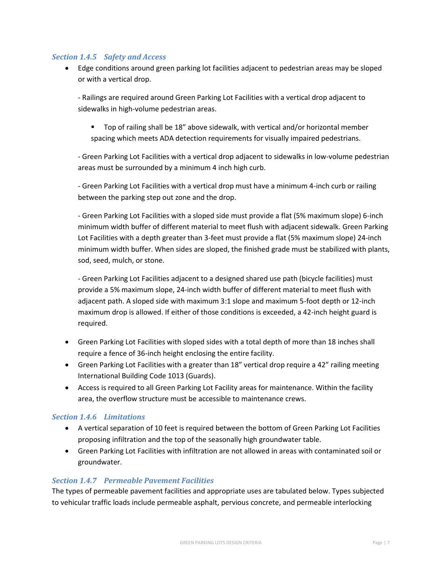## *Section 1.4.5 Safety and Access*

 Edge conditions around green parking lot facilities adjacent to pedestrian areas may be sloped or with a vertical drop.

- Railings are required around Green Parking Lot Facilities with a vertical drop adjacent to sidewalks in high-volume pedestrian areas.

■ Top of railing shall be 18" above sidewalk, with vertical and/or horizontal member spacing which meets ADA detection requirements for visually impaired pedestrians.

- Green Parking Lot Facilities with a vertical drop adjacent to sidewalks in low-volume pedestrian areas must be surrounded by a minimum 4 inch high curb.

- Green Parking Lot Facilities with a vertical drop must have a minimum 4-inch curb or railing between the parking step out zone and the drop.

- Green Parking Lot Facilities with a sloped side must provide a flat (5% maximum slope) 6-inch minimum width buffer of different material to meet flush with adjacent sidewalk. Green Parking Lot Facilities with a depth greater than 3-feet must provide a flat (5% maximum slope) 24-inch minimum width buffer. When sides are sloped, the finished grade must be stabilized with plants, sod, seed, mulch, or stone.

- Green Parking Lot Facilities adjacent to a designed shared use path (bicycle facilities) must provide a 5% maximum slope, 24-inch width buffer of different material to meet flush with adjacent path. A sloped side with maximum 3:1 slope and maximum 5-foot depth or 12-inch maximum drop is allowed. If either of those conditions is exceeded, a 42-inch height guard is required.

- Green Parking Lot Facilities with sloped sides with a total depth of more than 18 inches shall require a fence of 36-inch height enclosing the entire facility.
- Green Parking Lot Facilities with a greater than 18" vertical drop require a 42" railing meeting International Building Code 1013 (Guards).
- Access is required to all Green Parking Lot Facility areas for maintenance. Within the facility area, the overflow structure must be accessible to maintenance crews.

## *Section 1.4.6 Limitations*

- A vertical separation of 10 feet is required between the bottom of Green Parking Lot Facilities proposing infiltration and the top of the seasonally high groundwater table.
- Green Parking Lot Facilities with infiltration are not allowed in areas with contaminated soil or groundwater.

## *Section 1.4.7 Permeable Pavement Facilities*

The types of permeable pavement facilities and appropriate uses are tabulated below. Types subjected to vehicular traffic loads include permeable asphalt, pervious concrete, and permeable interlocking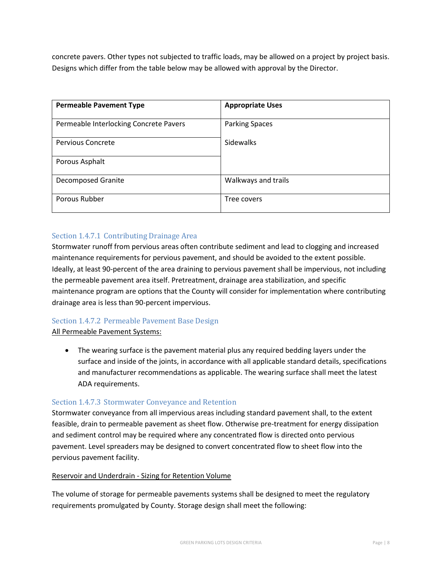concrete pavers. Other types not subjected to traffic loads, may be allowed on a project by project basis. Designs which differ from the table below may be allowed with approval by the Director.

| <b>Permeable Pavement Type</b>         | <b>Appropriate Uses</b> |
|----------------------------------------|-------------------------|
| Permeable Interlocking Concrete Pavers | <b>Parking Spaces</b>   |
| <b>Pervious Concrete</b>               | <b>Sidewalks</b>        |
| Porous Asphalt                         |                         |
| <b>Decomposed Granite</b>              | Walkways and trails     |
| Porous Rubber                          | Tree covers             |

## Section 1.4.7.1 Contributing Drainage Area

Stormwater runoff from pervious areas often contribute sediment and lead to clogging and increased maintenance requirements for pervious pavement, and should be avoided to the extent possible. Ideally, at least 90-percent of the area draining to pervious pavement shall be impervious, not including the permeable pavement area itself. Pretreatment, drainage area stabilization, and specific maintenance program are options that the County will consider for implementation where contributing drainage area is less than 90-percent impervious.

## Section 1.4.7.2 Permeable Pavement Base Design

### All Permeable Pavement Systems:

 The wearing surface is the pavement material plus any required bedding layers under the surface and inside of the joints, in accordance with all applicable standard details, specifications and manufacturer recommendations as applicable. The wearing surface shall meet the latest ADA requirements.

## Section 1.4.7.3 Stormwater Conveyance and Retention

Stormwater conveyance from all impervious areas including standard pavement shall, to the extent feasible, drain to permeable pavement as sheet flow. Otherwise pre-treatment for energy dissipation and sediment control may be required where any concentrated flow is directed onto pervious pavement. Level spreaders may be designed to convert concentrated flow to sheet flow into the pervious pavement facility.

#### Reservoir and Underdrain - Sizing for Retention Volume

The volume of storage for permeable pavements systems shall be designed to meet the regulatory requirements promulgated by County. Storage design shall meet the following: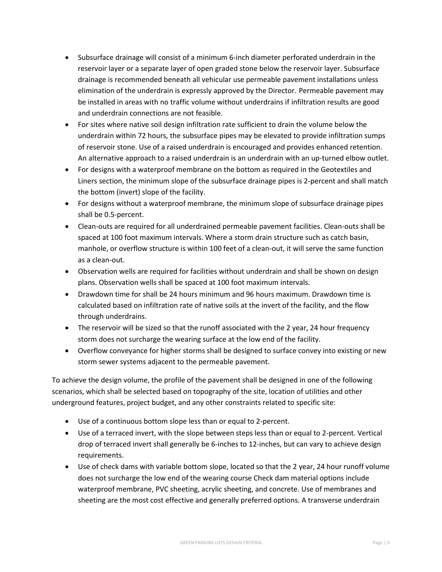- Subsurface drainage will consist of a minimum 6-inch diameter perforated underdrain in the reservoir layer or a separate layer of open graded stone below the reservoir layer. Subsurface drainage is recommended beneath all vehicular use permeable pavement installations unless elimination of the underdrain is expressly approved by the Director. Permeable pavement may be installed in areas with no traffic volume without underdrains if infiltration results are good and underdrain connections are not feasible.
- For sites where native soil design infiltration rate sufficient to drain the volume below the underdrain within 72 hours, the subsurface pipes may be elevated to provide infiltration sumps of reservoir stone. Use of a raised underdrain is encouraged and provides enhanced retention. An alternative approach to a raised underdrain is an underdrain with an up-turned elbow outlet.
- For designs with a waterproof membrane on the bottom as required in the Geotextiles and Liners section, the minimum slope of the subsurface drainage pipes is 2-percent and shall match the bottom (invert) slope of the facility.
- For designs without a waterproof membrane, the minimum slope of subsurface drainage pipes shall be 0.5-percent.
- Clean-outs are required for all underdrained permeable pavement facilities. Clean-outs shall be spaced at 100 foot maximum intervals. Where a storm drain structure such as catch basin, manhole, or overflow structure is within 100 feet of a clean-out, it will serve the same function as a clean-out.
- Observation wells are required for facilities without underdrain and shall be shown on design plans. Observation wells shall be spaced at 100 foot maximum intervals.
- Drawdown time for shall be 24 hours minimum and 96 hours maximum. Drawdown time is calculated based on infiltration rate of native soils at the invert of the facility, and the flow through underdrains.
- The reservoir will be sized so that the runoff associated with the 2 year, 24 hour frequency storm does not surcharge the wearing surface at the low end of the facility.
- Overflow conveyance for higher storms shall be designed to surface convey into existing or new storm sewer systems adjacent to the permeable pavement.

To achieve the design volume, the profile of the pavement shall be designed in one of the following scenarios, which shall be selected based on topography of the site, location of utilities and other underground features, project budget, and any other constraints related to specific site:

- Use of a continuous bottom slope less than or equal to 2-percent.
- Use of a terraced invert, with the slope between steps less than or equal to 2-percent. Vertical drop of terraced invert shall generally be 6-inches to 12-inches, but can vary to achieve design requirements.
- Use of check dams with variable bottom slope, located so that the 2 year, 24 hour runoff volume does not surcharge the low end of the wearing course Check dam material options include waterproof membrane, PVC sheeting, acrylic sheeting, and concrete. Use of membranes and sheeting are the most cost effective and generally preferred options. A transverse underdrain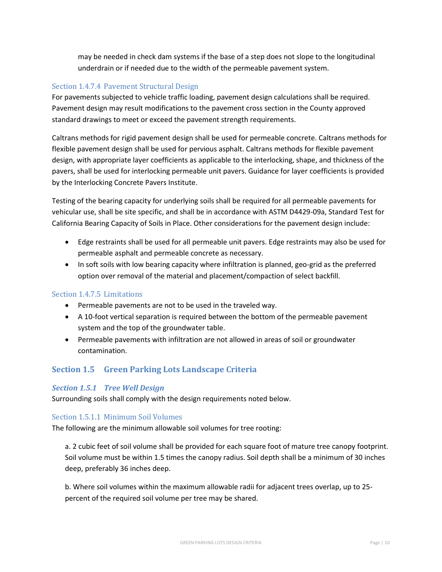may be needed in check dam systems if the base of a step does not slope to the longitudinal underdrain or if needed due to the width of the permeable pavement system.

## Section 1.4.7.4 Pavement Structural Design

For pavements subjected to vehicle traffic loading, pavement design calculations shall be required. Pavement design may result modifications to the pavement cross section in the County approved standard drawings to meet or exceed the pavement strength requirements.

Caltrans methods for rigid pavement design shall be used for permeable concrete. Caltrans methods for flexible pavement design shall be used for pervious asphalt. Caltrans methods for flexible pavement design, with appropriate layer coefficients as applicable to the interlocking, shape, and thickness of the pavers, shall be used for interlocking permeable unit pavers. Guidance for layer coefficients is provided by the Interlocking Concrete Pavers Institute.

Testing of the bearing capacity for underlying soils shall be required for all permeable pavements for vehicular use, shall be site specific, and shall be in accordance with ASTM D4429-09a, Standard Test for California Bearing Capacity of Soils in Place. Other considerations for the pavement design include:

- Edge restraints shall be used for all permeable unit pavers. Edge restraints may also be used for permeable asphalt and permeable concrete as necessary.
- In soft soils with low bearing capacity where infiltration is planned, geo-grid as the preferred option over removal of the material and placement/compaction of select backfill.

## Section 1.4.7.5 Limitations

- Permeable pavements are not to be used in the traveled way.
- A 10-foot vertical separation is required between the bottom of the permeable pavement system and the top of the groundwater table.
- Permeable pavements with infiltration are not allowed in areas of soil or groundwater contamination.

## <span id="page-11-0"></span>**Section 1.5 Green Parking Lots Landscape Criteria**

## *Section 1.5.1 Tree Well Design*

Surrounding soils shall comply with the design requirements noted below.

### Section 1.5.1.1 Minimum Soil Volumes

The following are the minimum allowable soil volumes for tree rooting:

a. 2 cubic feet of soil volume shall be provided for each square foot of mature tree canopy footprint. Soil volume must be within 1.5 times the canopy radius. Soil depth shall be a minimum of 30 inches deep, preferably 36 inches deep.

b. Where soil volumes within the maximum allowable radii for adjacent trees overlap, up to 25 percent of the required soil volume per tree may be shared.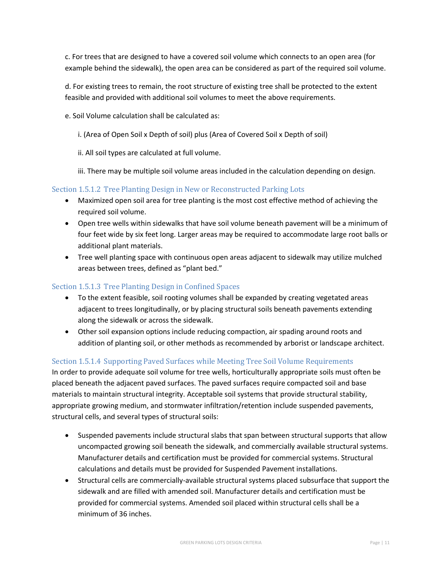c. For trees that are designed to have a covered soil volume which connects to an open area (for example behind the sidewalk), the open area can be considered as part of the required soil volume.

d. For existing trees to remain, the root structure of existing tree shall be protected to the extent feasible and provided with additional soil volumes to meet the above requirements.

- e. Soil Volume calculation shall be calculated as:
	- i. (Area of Open Soil x Depth of soil) plus (Area of Covered Soil x Depth of soil)
	- ii. All soil types are calculated at full volume.
	- iii. There may be multiple soil volume areas included in the calculation depending on design.

### Section 1.5.1.2 Tree Planting Design in New or Reconstructed Parking Lots

- Maximized open soil area for tree planting is the most cost effective method of achieving the required soil volume.
- Open tree wells within sidewalks that have soil volume beneath pavement will be a minimum of four feet wide by six feet long. Larger areas may be required to accommodate large root balls or additional plant materials.
- Tree well planting space with continuous open areas adjacent to sidewalk may utilize mulched areas between trees, defined as "plant bed."

## Section 1.5.1.3 Tree Planting Design in Confined Spaces

- To the extent feasible, soil rooting volumes shall be expanded by creating vegetated areas adjacent to trees longitudinally, or by placing structural soils beneath pavements extending along the sidewalk or across the sidewalk.
- Other soil expansion options include reducing compaction, air spading around roots and addition of planting soil, or other methods as recommended by arborist or landscape architect.

## Section 1.5.1.4 Supporting Paved Surfaces while Meeting Tree Soil Volume Requirements

In order to provide adequate soil volume for tree wells, horticulturally appropriate soils must often be placed beneath the adjacent paved surfaces. The paved surfaces require compacted soil and base materials to maintain structural integrity. Acceptable soil systems that provide structural stability, appropriate growing medium, and stormwater infiltration/retention include suspended pavements, structural cells, and several types of structural soils:

- Suspended pavements include structural slabs that span between structural supports that allow uncompacted growing soil beneath the sidewalk, and commercially available structural systems. Manufacturer details and certification must be provided for commercial systems. Structural calculations and details must be provided for Suspended Pavement installations.
- Structural cells are commercially-available structural systems placed subsurface that support the sidewalk and are filled with amended soil. Manufacturer details and certification must be provided for commercial systems. Amended soil placed within structural cells shall be a minimum of 36 inches.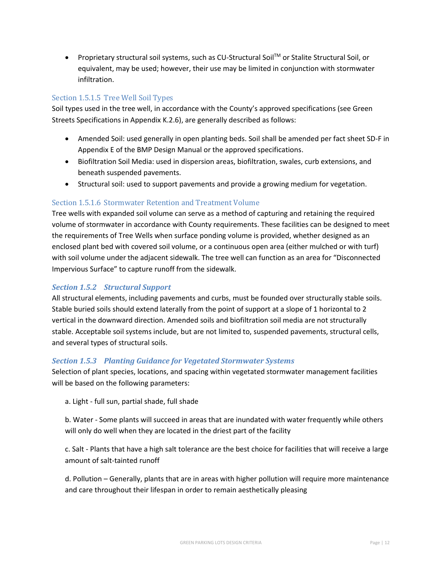● Proprietary structural soil systems, such as CU-Structural Soil™ or Stalite Structural Soil, or equivalent, may be used; however, their use may be limited in conjunction with stormwater infiltration.

## Section 1.5.1.5 Tree Well Soil Types

Soil types used in the tree well, in accordance with the County's approved specifications (see Green Streets Specifications in Appendix K.2.6), are generally described as follows:

- Amended Soil: used generally in open planting beds. Soil shall be amended per fact sheet SD-F in Appendix E of the BMP Design Manual or the approved specifications.
- Biofiltration Soil Media: used in dispersion areas, biofiltration, swales, curb extensions, and beneath suspended pavements.
- Structural soil: used to support pavements and provide a growing medium for vegetation.

## Section 1.5.1.6 Stormwater Retention and Treatment Volume

Tree wells with expanded soil volume can serve as a method of capturing and retaining the required volume of stormwater in accordance with County requirements. These facilities can be designed to meet the requirements of Tree Wells when surface ponding volume is provided, whether designed as an enclosed plant bed with covered soil volume, or a continuous open area (either mulched or with turf) with soil volume under the adjacent sidewalk. The tree well can function as an area for "Disconnected Impervious Surface" to capture runoff from the sidewalk.

## *Section 1.5.2 Structural Support*

All structural elements, including pavements and curbs, must be founded over structurally stable soils. Stable buried soils should extend laterally from the point of support at a slope of 1 horizontal to 2 vertical in the downward direction. Amended soils and biofiltration soil media are not structurally stable. Acceptable soil systems include, but are not limited to, suspended pavements, structural cells, and several types of structural soils.

## *Section 1.5.3 Planting Guidance for Vegetated Stormwater Systems*

Selection of plant species, locations, and spacing within vegetated stormwater management facilities will be based on the following parameters:

a. Light - full sun, partial shade, full shade

b. Water - Some plants will succeed in areas that are inundated with water frequently while others will only do well when they are located in the driest part of the facility

c. Salt - Plants that have a high salt tolerance are the best choice for facilities that will receive a large amount of salt-tainted runoff

d. Pollution – Generally, plants that are in areas with higher pollution will require more maintenance and care throughout their lifespan in order to remain aesthetically pleasing